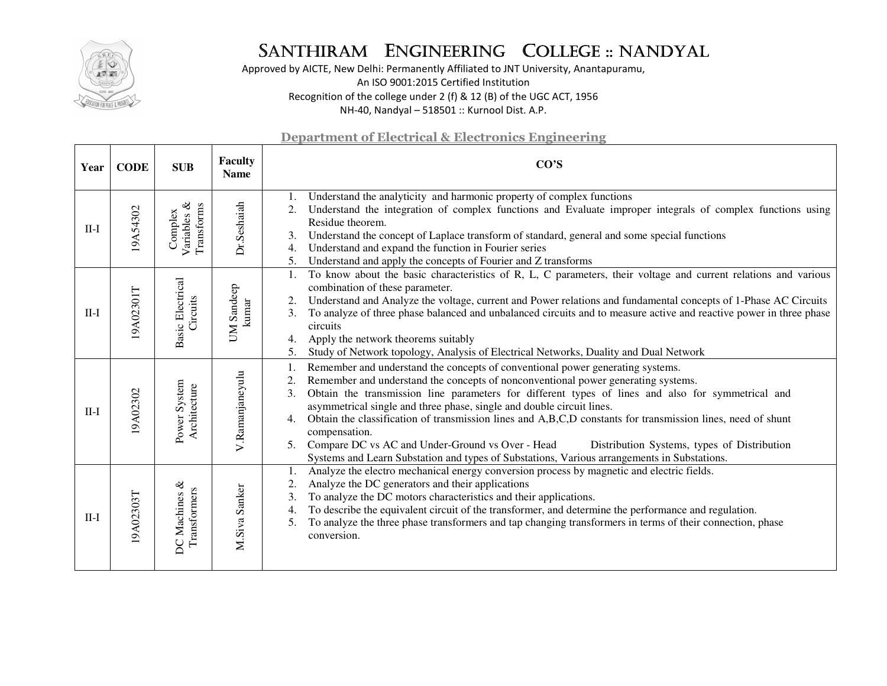

Approved by AICTE, New Delhi: Permanently Affiliated to JNT University, Anantapuramu, An ISO 9001:2015 Certified Institution Recognition of the college under 2 (f) & 12 (B) of the UGC ACT, 1956 NH-40, Nandyal – 518501 :: Kurnool Dist. A.P.

| Year   | <b>CODE</b> | <b>SUB</b>                           | <b>Faculty</b><br><b>Name</b> | CO'S                                                                                                                                                                                                                                                                                                                                                                                                                                                                                                                                                                                                                                                                                                  |
|--------|-------------|--------------------------------------|-------------------------------|-------------------------------------------------------------------------------------------------------------------------------------------------------------------------------------------------------------------------------------------------------------------------------------------------------------------------------------------------------------------------------------------------------------------------------------------------------------------------------------------------------------------------------------------------------------------------------------------------------------------------------------------------------------------------------------------------------|
| $II-I$ | 19A54302    | Variables &<br>Transforms<br>Complex | Dr.Seshaiah                   | Understand the analyticity and harmonic property of complex functions<br>Understand the integration of complex functions and Evaluate improper integrals of complex functions using<br>Residue theorem.<br>Understand the concept of Laplace transform of standard, general and some special functions<br>3.<br>Understand and expand the function in Fourier series<br>4.<br>Understand and apply the concepts of Fourier and Z transforms<br>5.                                                                                                                                                                                                                                                     |
| $II-I$ | 9A02301T    | <b>Basic Electrical</b><br>Circuits  | UM Sandeep<br>kumar           | To know about the basic characteristics of R, L, C parameters, their voltage and current relations and various<br>1.<br>combination of these parameter.<br>Understand and Analyze the voltage, current and Power relations and fundamental concepts of 1-Phase AC Circuits<br>2.<br>To analyze of three phase balanced and unbalanced circuits and to measure active and reactive power in three phase<br>3.<br>circuits<br>Apply the network theorems suitably<br>4.<br>Study of Network topology, Analysis of Electrical Networks, Duality and Dual Network<br>5.                                                                                                                                   |
| $II-I$ | 19A02302    | Power System<br>Architecture         | V.Ramanjaneyulu               | Remember and understand the concepts of conventional power generating systems.<br>Remember and understand the concepts of nonconventional power generating systems.<br>2.<br>Obtain the transmission line parameters for different types of lines and also for symmetrical and<br>3.<br>asymmetrical single and three phase, single and double circuit lines.<br>Obtain the classification of transmission lines and A,B,C,D constants for transmission lines, need of shunt<br>compensation.<br>Compare DC vs AC and Under-Ground vs Over - Head<br>5.<br>Distribution Systems, types of Distribution<br>Systems and Learn Substation and types of Substations, Various arrangements in Substations. |
| $II-I$ | 19A02303T   | DC Machines &<br>Transformers        | M.Siva Sanker                 | Analyze the electro mechanical energy conversion process by magnetic and electric fields.<br>1.<br>Analyze the DC generators and their applications<br>2.<br>To analyze the DC motors characteristics and their applications.<br>3.<br>To describe the equivalent circuit of the transformer, and determine the performance and regulation.<br>4.<br>To analyze the three phase transformers and tap changing transformers in terms of their connection, phase<br>5.<br>conversion.                                                                                                                                                                                                                   |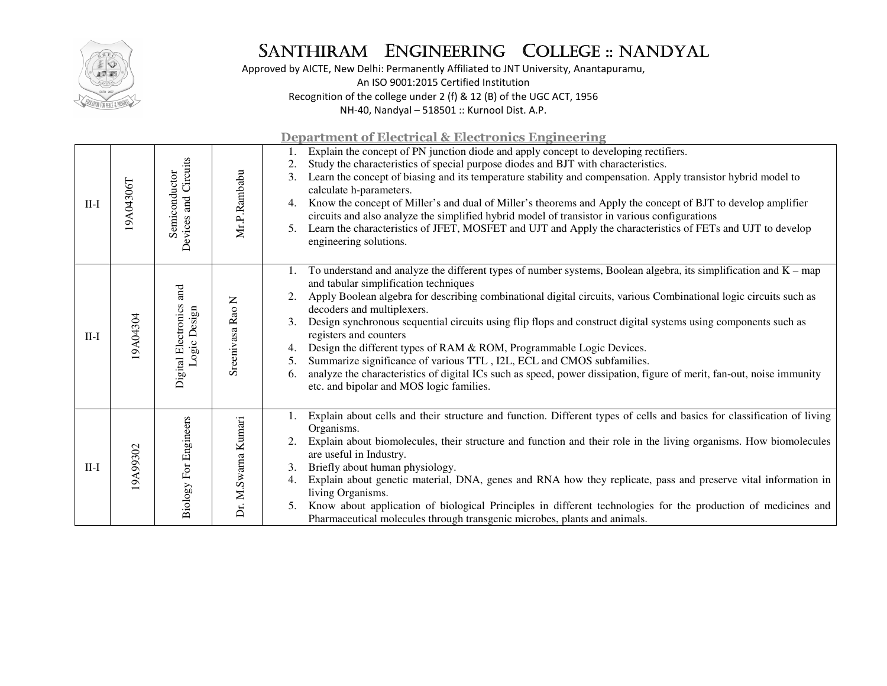

Approved by AICTE, New Delhi: Permanently Affiliated to JNT University, Anantapuramu, An ISO 9001:2015 Certified Institution Recognition of the college under 2 (f) & 12 (B) of the UGC ACT, 1956 NH-40, Nandyal – 518501 :: Kurnool Dist. A.P.

| $II-I$ | 19A04306T | Devices and Circuits<br>Semiconductor      | Mr.P.Rambabu        | Explain the concept of PN junction diode and apply concept to developing rectifiers.<br>Study the characteristics of special purpose diodes and BJT with characteristics.<br>Learn the concept of biasing and its temperature stability and compensation. Apply transistor hybrid model to<br>3.<br>calculate h-parameters.<br>Know the concept of Miller's and dual of Miller's theorems and Apply the concept of BJT to develop amplifier<br>4.<br>circuits and also analyze the simplified hybrid model of transistor in various configurations<br>Learn the characteristics of JFET, MOSFET and UJT and Apply the characteristics of FETs and UJT to develop<br>5.<br>engineering solutions.                                                                                                   |
|--------|-----------|--------------------------------------------|---------------------|----------------------------------------------------------------------------------------------------------------------------------------------------------------------------------------------------------------------------------------------------------------------------------------------------------------------------------------------------------------------------------------------------------------------------------------------------------------------------------------------------------------------------------------------------------------------------------------------------------------------------------------------------------------------------------------------------------------------------------------------------------------------------------------------------|
| $II-I$ | 19A04304  | and<br>Digital Electronics<br>Logic Design | Sreenivasa Rao N    | To understand and analyze the different types of number systems, Boolean algebra, its simplification and $K - map$<br>and tabular simplification techniques<br>Apply Boolean algebra for describing combinational digital circuits, various Combinational logic circuits such as<br>decoders and multiplexers.<br>Design synchronous sequential circuits using flip flops and construct digital systems using components such as<br>3.<br>registers and counters<br>Design the different types of RAM & ROM, Programmable Logic Devices.<br>Summarize significance of various TTL, I2L, ECL and CMOS subfamilies.<br>5.<br>analyze the characteristics of digital ICs such as speed, power dissipation, figure of merit, fan-out, noise immunity<br>6.<br>etc. and bipolar and MOS logic families. |
| $II-I$ | 9A99302   | <b>Biology For Engineers</b>               | Dr. M.Swarna Kumari | Explain about cells and their structure and function. Different types of cells and basics for classification of living<br>Organisms.<br>Explain about biomolecules, their structure and function and their role in the living organisms. How biomolecules<br>are useful in Industry.<br>Briefly about human physiology.<br>3.<br>Explain about genetic material, DNA, genes and RNA how they replicate, pass and preserve vital information in<br>4.<br>living Organisms.<br>Know about application of biological Principles in different technologies for the production of medicines and<br>5.<br>Pharmaceutical molecules through transgenic microbes, plants and animals.                                                                                                                      |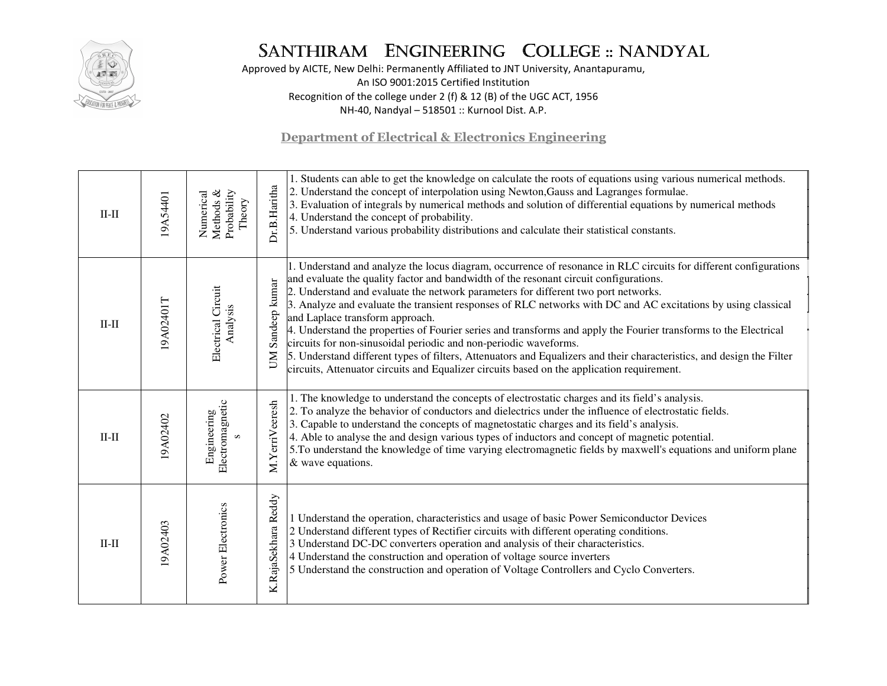

Approved by AICTE, New Delhi: Permanently Affiliated to JNT University, Anantapuramu, An ISO 9001:2015 Certified Institution Recognition of the college under 2 (f) & 12 (B) of the UGC ACT, 1956 NH-40, Nandyal – 518501 :: Kurnool Dist. A.P.

| $II-II$ | 19A54401  | Methods &<br>Probability<br>Numerical<br>Theory | Dr.B.Haritha                | 1. Students can able to get the knowledge on calculate the roots of equations using various numerical methods.<br>2. Understand the concept of interpolation using Newton, Gauss and Lagranges formulae.<br>3. Evaluation of integrals by numerical methods and solution of differential equations by numerical methods<br>4. Understand the concept of probability.<br>5. Understand various probability distributions and calculate their statistical constants.                                                                                                                                                                                                                                                                                                                                                                                                  |
|---------|-----------|-------------------------------------------------|-----------------------------|---------------------------------------------------------------------------------------------------------------------------------------------------------------------------------------------------------------------------------------------------------------------------------------------------------------------------------------------------------------------------------------------------------------------------------------------------------------------------------------------------------------------------------------------------------------------------------------------------------------------------------------------------------------------------------------------------------------------------------------------------------------------------------------------------------------------------------------------------------------------|
| $II-II$ | 19A02401T | Electrical Circuit<br>Analysis                  | Sandeep kumar<br><b>N</b> U | 1. Understand and analyze the locus diagram, occurrence of resonance in RLC circuits for different configurations<br>and evaluate the quality factor and bandwidth of the resonant circuit configurations.<br>2. Understand and evaluate the network parameters for different two port networks.<br>3. Analyze and evaluate the transient responses of RLC networks with DC and AC excitations by using classical<br>and Laplace transform approach.<br>4. Understand the properties of Fourier series and transforms and apply the Fourier transforms to the Electrical<br>circuits for non-sinusoidal periodic and non-periodic waveforms.<br>5. Understand different types of filters, Attenuators and Equalizers and their characteristics, and design the Filter<br>circuits, Attenuator circuits and Equalizer circuits based on the application requirement. |
| $II-II$ | 19A02402  | Electromagnetic<br>Engineering<br>$\mathbf{v}$  | M.YerriVeeresh              | 1. The knowledge to understand the concepts of electrostatic charges and its field's analysis.<br>2. To analyze the behavior of conductors and dielectrics under the influence of electrostatic fields.<br>3. Capable to understand the concepts of magnetostatic charges and its field's analysis.<br>4. Able to analyse the and design various types of inductors and concept of magnetic potential.<br>5. To understand the knowledge of time varying electromagnetic fields by maxwell's equations and uniform plane<br>& wave equations.                                                                                                                                                                                                                                                                                                                       |
| $II-II$ | 19A02403  | Power Electronics                               | Reddy<br>K.RajaSekhara      | 1 Understand the operation, characteristics and usage of basic Power Semiconductor Devices<br>2 Understand different types of Rectifier circuits with different operating conditions.<br>3 Understand DC-DC converters operation and analysis of their characteristics.<br>4 Understand the construction and operation of voltage source inverters<br>5 Understand the construction and operation of Voltage Controllers and Cyclo Converters.                                                                                                                                                                                                                                                                                                                                                                                                                      |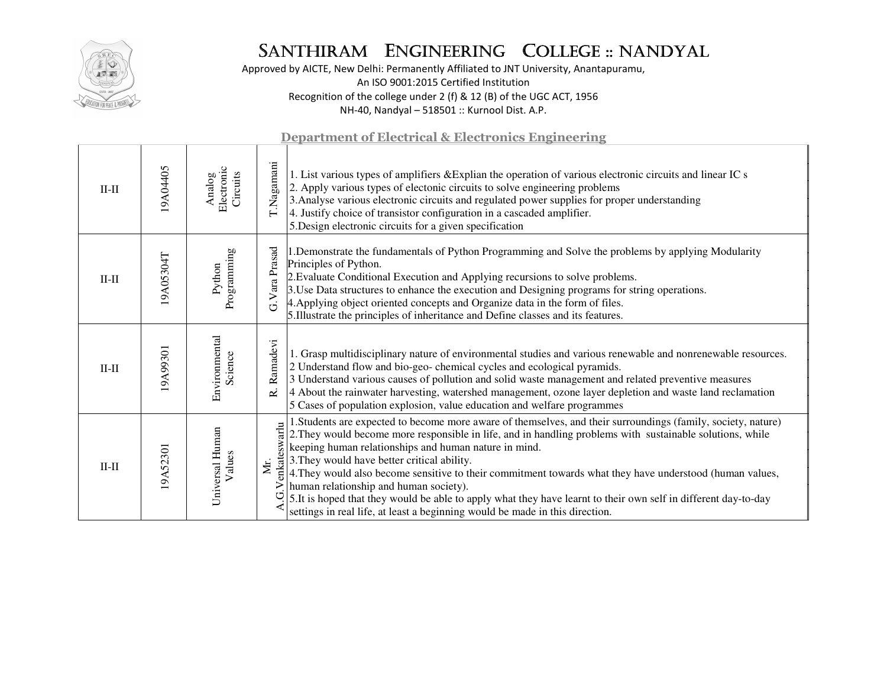

Approved by AICTE, New Delhi: Permanently Affiliated to JNT University, Anantapuramu, An ISO 9001:2015 Certified Institution Recognition of the college under 2 (f) & 12 (B) of the UGC ACT, 1956 NH-40, Nandyal – 518501 :: Kurnool Dist. A.P.

| <b>Department of Electrical &amp; Electronics Engineering</b> |           |                                  |                      |                                                                                                                                                                                                                                                                                                                                                                                                                                                                                                                                                                                                                                                                                            |  |  |
|---------------------------------------------------------------|-----------|----------------------------------|----------------------|--------------------------------------------------------------------------------------------------------------------------------------------------------------------------------------------------------------------------------------------------------------------------------------------------------------------------------------------------------------------------------------------------------------------------------------------------------------------------------------------------------------------------------------------------------------------------------------------------------------------------------------------------------------------------------------------|--|--|
| $II-II$                                                       | 19A04405  | Electronic<br>Circuits<br>Analog | T.Nagamani           | 1. List various types of amplifiers & Explian the operation of various electronic circuits and linear IC s<br>2. Apply various types of electonic circuits to solve engineering problems<br>3. Analyse various electronic circuits and regulated power supplies for proper understanding<br>4. Justify choice of transistor configuration in a cascaded amplifier.<br>5. Design electronic circuits for a given specification                                                                                                                                                                                                                                                              |  |  |
| $II-II$                                                       | 19A05304T | Programming<br>Python            | G. Vara Prasad       | 1. Demonstrate the fundamentals of Python Programming and Solve the problems by applying Modularity<br>Principles of Python.<br>2. Evaluate Conditional Execution and Applying recursions to solve problems.<br>3. Use Data structures to enhance the execution and Designing programs for string operations.<br>4. Applying object oriented concepts and Organize data in the form of files.<br>5. Illustrate the principles of inheritance and Define classes and its features.                                                                                                                                                                                                          |  |  |
| $II-II$                                                       | 19A99301  | Environmental<br>Science         | Ramadevi<br>نح       | 1. Grasp multidisciplinary nature of environmental studies and various renewable and nonrenewable resources.<br>2 Understand flow and bio-geo-chemical cycles and ecological pyramids.<br>3 Understand various causes of pollution and solid waste management and related preventive measures<br>4 About the rainwater harvesting, watershed management, ozone layer depletion and waste land reclamation<br>5 Cases of population explosion, value education and welfare programmes                                                                                                                                                                                                       |  |  |
| $II$ -II                                                      | 19A52301  | Universal Human<br>Values        | Venkateswarlu<br>Мr. | 1. Students are expected to become more aware of themselves, and their surroundings (family, society, nature)<br>2. They would become more responsible in life, and in handling problems with sustainable solutions, while<br>keeping human relationships and human nature in mind.<br>3. They would have better critical ability.<br>4. They would also become sensitive to their commitment towards what they have understood (human values,<br>human relationship and human society).<br>5.It is hoped that they would be able to apply what they have learnt to their own self in different day-to-day<br>settings in real life, at least a beginning would be made in this direction. |  |  |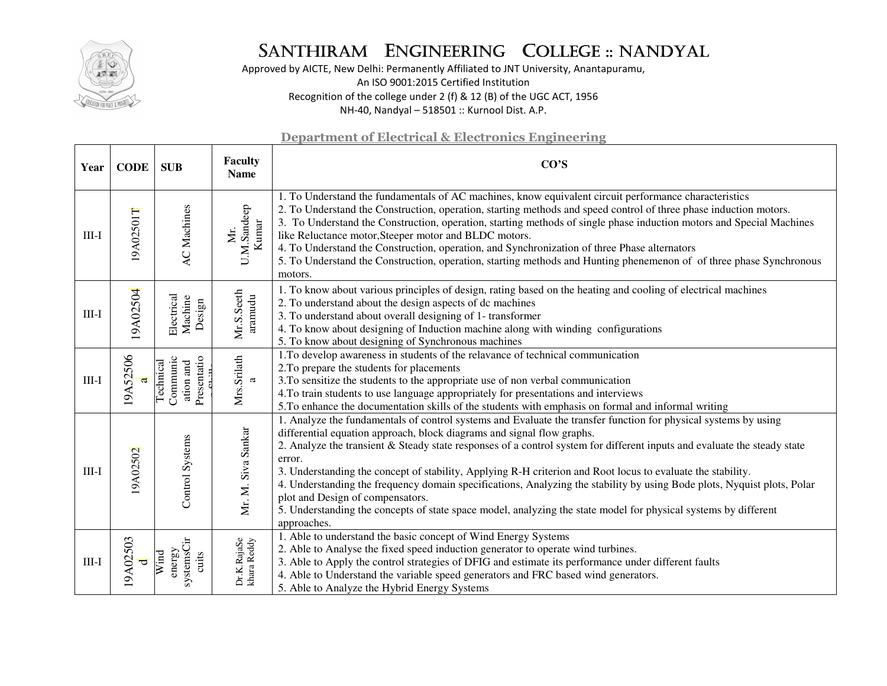

Approved by AICTE, New Delhi: Permanently Affiliated to JNT University, Anantapuramu, An ISO 9001:2015 Certified Institution Recognition of the college under 2 (f) & 12 (B) of the UGC ACT, 1956 NH-40, Nandyal – 518501 :: Kurnool Dist. A.P.

| Year    | <b>CODE</b>   | <b>SUB</b>                                        | <b>Faculty</b><br><b>Name</b> | CO'S                                                                                                                                                                                                                                                                                                                                                                                                                                                                                                                                                                                                                                                                                                                                            |
|---------|---------------|---------------------------------------------------|-------------------------------|-------------------------------------------------------------------------------------------------------------------------------------------------------------------------------------------------------------------------------------------------------------------------------------------------------------------------------------------------------------------------------------------------------------------------------------------------------------------------------------------------------------------------------------------------------------------------------------------------------------------------------------------------------------------------------------------------------------------------------------------------|
| $III-I$ | 19A02501T     | <b>AC</b> Machines                                | U.M.Sandeep<br>Kumar<br>Мr.   | 1. To Understand the fundamentals of AC machines, know equivalent circuit performance characteristics<br>2. To Understand the Construction, operation, starting methods and speed control of three phase induction motors.<br>3. To Understand the Construction, operation, starting methods of single phase induction motors and Special Machines<br>like Reluctance motor, Steeper motor and BLDC motors.<br>4. To Understand the Construction, operation, and Synchronization of three Phase alternators<br>5. To Understand the Construction, operation, starting methods and Hunting phenemenon of of three phase Synchronous<br>motors.                                                                                                   |
| $III-I$ | 19A02504      | Electrical<br>Machine<br>Design                   | Mr.S.Seeth<br>aramudu         | 1. To know about various principles of design, rating based on the heating and cooling of electrical machines<br>2. To understand about the design aspects of dc machines<br>3. To understand about overall designing of 1- transformer<br>4. To know about designing of Induction machine along with winding configurations<br>5. To know about designing of Synchronous machines                                                                                                                                                                                                                                                                                                                                                              |
| $III-I$ | 19A52506<br>a | Presentatio<br>Communic<br>ation and<br>Technical | Mrs.Srilath<br>a              | 1. To develop awareness in students of the relavance of technical communication<br>2. To prepare the students for placements<br>3. To sensitize the students to the appropriate use of non verbal communication<br>4. To train students to use language appropriately for presentations and interviews<br>5.To enhance the documentation skills of the students with emphasis on formal and informal writing                                                                                                                                                                                                                                                                                                                                    |
| $III-I$ | 9A02502       | Control Systems                                   | Mr. M. Siva Sankar            | 1. Analyze the fundamentals of control systems and Evaluate the transfer function for physical systems by using<br>differential equation approach, block diagrams and signal flow graphs.<br>2. Analyze the transient & Steady state responses of a control system for different inputs and evaluate the steady state<br>error.<br>3. Understanding the concept of stability, Applying R-H criterion and Root locus to evaluate the stability.<br>4. Understanding the frequency domain specifications, Analyzing the stability by using Bode plots, Nyquist plots, Polar<br>plot and Design of compensators.<br>5. Understanding the concepts of state space model, analyzing the state model for physical systems by different<br>approaches. |
| $III-I$ | 19A02503      | systemsCir<br>energy<br>Wind<br>cuits             | Dr.K.RajaSe<br>khara Reddy    | 1. Able to understand the basic concept of Wind Energy Systems<br>2. Able to Analyse the fixed speed induction generator to operate wind turbines.<br>3. Able to Apply the control strategies of DFIG and estimate its performance under different faults<br>4. Able to Understand the variable speed generators and FRC based wind generators.<br>5. Able to Analyze the Hybrid Energy Systems                                                                                                                                                                                                                                                                                                                                                 |